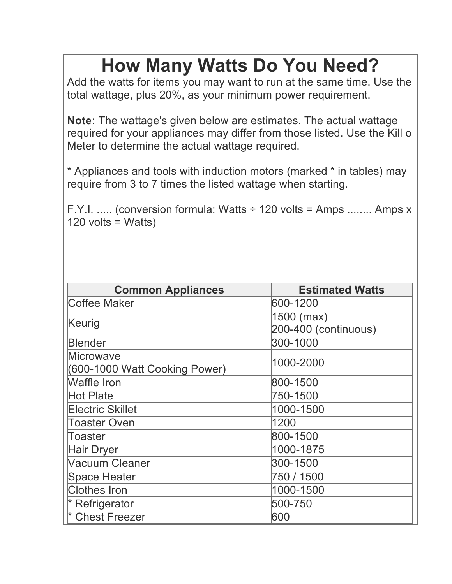## **How Many Watts Do You Need?**

Add the watts for items you may want to run at the same time. Use the total wattage, plus 20%, as your minimum power requirement.

**Note:** The wattage's given below are estimates. The actual wattage required for your appliances may differ from those listed. Use the Kill o Meter to determine the actual wattage required.

\* Appliances and tools with induction motors (marked \* in tables) may require from 3 to 7 times the listed wattage when starting.

F.Y.I. ..... (conversion formula: Watts  $\div$  120 volts = Amps ........ Amps x 120 volts = Watts)

| <b>Common Appliances</b>      | <b>Estimated Watts</b> |
|-------------------------------|------------------------|
| Coffee Maker                  | 600-1200               |
| Keurig                        | 1500 (max)             |
|                               | 200-400 (continuous)   |
| <b>Blender</b>                | 300-1000               |
| Microwave                     | 1000-2000              |
| (600-1000 Watt Cooking Power) |                        |
| <b>Waffle Iron</b>            | 800-1500               |
| Hot Plate                     | 750-1500               |
| <b>Electric Skillet</b>       | 1000-1500              |
| <b>Toaster Oven</b>           | 1200                   |
| Toaster                       | 800-1500               |
| Hair Dryer                    | 1000-1875              |
| <b>Vacuum Cleaner</b>         | 300-1500               |
| Space Heater                  | 750 / 1500             |
| <b>Clothes Iron</b>           | 1000-1500              |
| $*$ Refrigerator              | 500-750                |
| * Chest Freezer               | 600                    |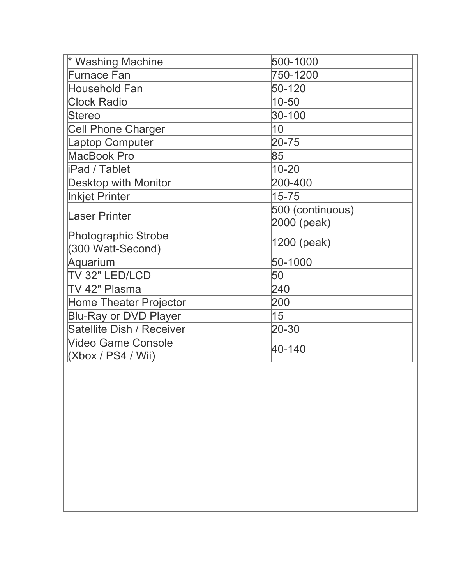| * Washing Machine             | 500-1000         |  |
|-------------------------------|------------------|--|
| <b>Furnace Fan</b>            | 750-1200         |  |
| <b>Household Fan</b>          | 50-120           |  |
| <b>Clock Radio</b>            | $10 - 50$        |  |
| <b>Stereo</b>                 | 30-100           |  |
| <b>Cell Phone Charger</b>     | 10               |  |
| <b>Laptop Computer</b>        | $20 - 75$        |  |
| MacBook Pro                   | 85               |  |
| <b>iPad / Tablet</b>          | $10 - 20$        |  |
| <b>Desktop with Monitor</b>   | 200-400          |  |
| Inkjet Printer                | $15 - 75$        |  |
| Laser Printer                 | 500 (continuous) |  |
|                               | 2000 (peak)      |  |
| Photographic Strobe           | 1200 (peak)      |  |
| (300 Watt-Second)             |                  |  |
| Aquarium                      | 50-1000          |  |
| TV 32" LED/LCD                | 50               |  |
| TV 42" Plasma                 | 240              |  |
| <b>Home Theater Projector</b> | 200              |  |
| <b>Blu-Ray or DVD Player</b>  | 15               |  |
| Satellite Dish / Receiver     | 20-30            |  |
| <b>Video Game Console</b>     | 40-140           |  |
| (Xbox / PS4 / Wii)            |                  |  |